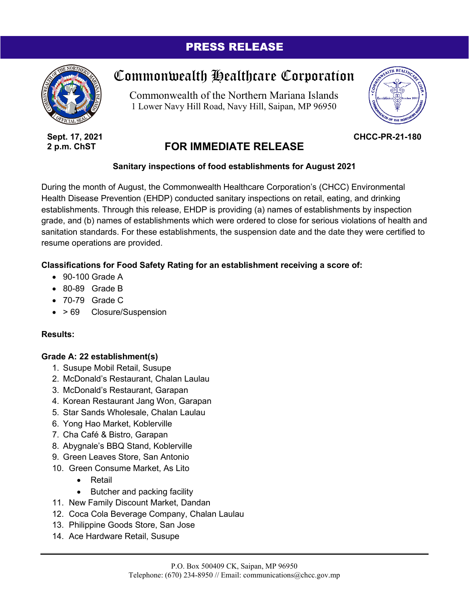# PRESS RELEASE



**Sept. 17, 2021 2 p.m. ChST**

# Commonwealth Healthcare Corporation

Commonwealth of the Northern Mariana Islands 1 Lower Navy Hill Road, Navy Hill, Saipan, MP 96950



**CHCC-PR-21-180**

# **FOR IMMEDIATE RELEASE**

## **Sanitary inspections of food establishments for August 2021**

During the month of August, the Commonwealth Healthcare Corporation's (CHCC) Environmental Health Disease Prevention (EHDP) conducted sanitary inspections on retail, eating, and drinking establishments. Through this release, EHDP is providing (a) names of establishments by inspection grade, and (b) names of establishments which were ordered to close for serious violations of health and sanitation standards. For these establishments, the suspension date and the date they were certified to resume operations are provided.

## **Classifications for Food Safety Rating for an establishment receiving a score of:**

- 90-100 Grade A
- 80-89 Grade B
- 70-79 Grade C
- > 69 Closure/Suspension

### **Results:**

### **Grade A: 22 establishment(s)**

- 1. Susupe Mobil Retail, Susupe
- 2. McDonald's Restaurant, Chalan Laulau
- 3. McDonald's Restaurant, Garapan
- 4. Korean Restaurant Jang Won, Garapan
- 5. Star Sands Wholesale, Chalan Laulau
- 6. Yong Hao Market, Koblerville
- 7. Cha Café & Bistro, Garapan
- 8. Abygnale's BBQ Stand, Koblerville
- 9. Green Leaves Store, San Antonio
- 10. Green Consume Market, As Lito
	- Retail
	- Butcher and packing facility
- 11. New Family Discount Market, Dandan
- 12. Coca Cola Beverage Company, Chalan Laulau
- 13. Philippine Goods Store, San Jose
- 14. Ace Hardware Retail, Susupe